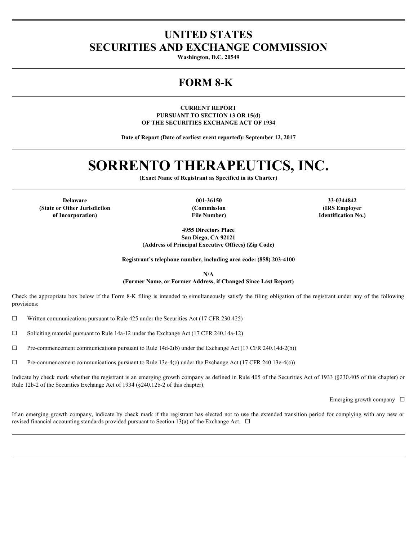# **UNITED STATES SECURITIES AND EXCHANGE COMMISSION**

**Washington, D.C. 20549**

## **FORM 8-K**

**CURRENT REPORT PURSUANT TO SECTION 13 OR 15(d) OF THE SECURITIES EXCHANGE ACT OF 1934**

**Date of Report (Date of earliest event reported): September 12, 2017**

# **SORRENTO THERAPEUTICS, INC.**

**(Exact Name of Registrant as Specified in its Charter)**

**(State or Other Jurisdiction of Incorporation)**

**File Number)**

**Delaware 001-36150 33-0344842 (Commission (IRS Employer Identification No.)**

> **4955 Directors Place San Diego, CA 92121**

**(Address of Principal Executive Offices) (Zip Code)**

**Registrant's telephone number, including area code: (858) 203-4100**

**N/A**

**(Former Name, or Former Address, if Changed Since Last Report)**

Check the appropriate box below if the Form 8-K filing is intended to simultaneously satisfy the filing obligation of the registrant under any of the following provisions:

 $\Box$  Written communications pursuant to Rule 425 under the Securities Act (17 CFR 230.425)

 $\square$  Soliciting material pursuant to Rule 14a-12 under the Exchange Act (17 CFR 240.14a-12)

 $\Box$  Pre-commencement communications pursuant to Rule 14d-2(b) under the Exchange Act (17 CFR 240.14d-2(b))

 $\Box$  Pre-commencement communications pursuant to Rule 13e-4(c) under the Exchange Act (17 CFR 240.13e-4(c))

Indicate by check mark whether the registrant is an emerging growth company as defined in Rule 405 of the Securities Act of 1933 (§230.405 of this chapter) or Rule 12b-2 of the Securities Exchange Act of 1934 (§240.12b-2 of this chapter).

Emerging growth company  $\Box$ 

If an emerging growth company, indicate by check mark if the registrant has elected not to use the extended transition period for complying with any new or revised financial accounting standards provided pursuant to Section 13(a) of the Exchange Act.  $\Box$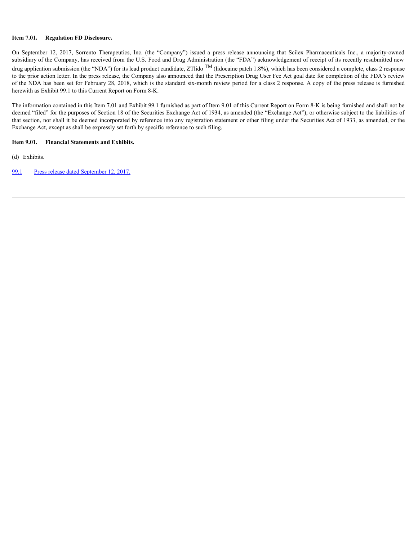### **Item 7.01. Regulation FD Disclosure.**

**Item 7.01.** Regulation FD Disclosure.<br>On September 12, 2017, Sorrento Therapeutics, Inc. (the "Company") issued a press release amouncing that Scilex Pharmaceuticals Inc., a majority-owned<br>subsidiary of the Company, has r subsidiary of the Company, has received from the U.S. Food and Drug Administration (the "FDA") acknowledgement of receipt of its recently resubmitted new drug application submission (the "NDA") for its lead product candidate, ZTlido <sup>TM</sup> (lidocaine patch 1.8%), which has been considered a complete, class 2 response to the prior action letter. In the press release, the Company also announced that the Prescription Drug User Fee Act goal date for completion of the FDA's review of the NDA has been set for February 28, 2018, which is the standard six-month review period for a class 2 response. A copy of the press release is furnished herewith as Exhibit 99.1 to this Current Report on Form 8-K.

The information contained in this Item 7.01 and Exhibit 99.1 furnished as part of Item 9.01 of this Current Report on Form 8-K is being furnished and shall not be deemed "filed" for the purposes of Section 18 of the Securities Exchange Act of 1934, as amended (the "Exchange Act"), or otherwise subject to the liabilities of that section, nor shall it be deemed incorporated by reference into any registration statement or other filing under the Securities Act of 1933, as amended, or the Exchange Act, except as shall be expressly set forth by specific reference to such filing.

### **Item 9.01. Financial Statements and Exhibits.**

(d) Exhibits.

[99.1](#page-3-0) [Press release dated September 12, 2017.](#page-3-0)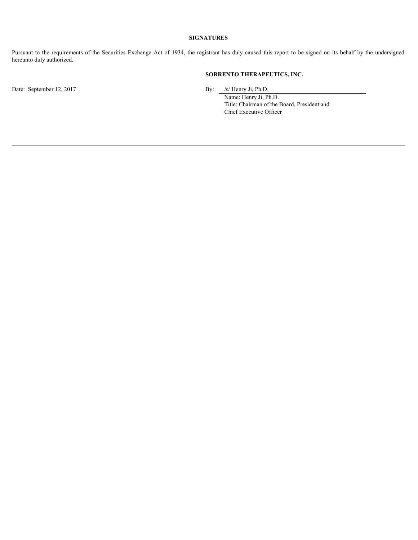### **SIGNATURES**

**Pursuant to the requirements of the Securities Exchange Act of 1934, the registrant has duly caused this report to be signed on its behalf by the undersigned<br>hereunto duly authorized.<br><b>SORRENTO THERAPEUTICS, INC.**<br> $\frac{f_S H$ hereunto duly authorized.

### **SORRENTO THERAPEUTICS, INC.**

Date: September 12, 2017 By: /s/ Henry Ji, Ph.D.

Name: Henry Ji, Ph.D. Title: Chairman of the Board, President and Chief Executive Officer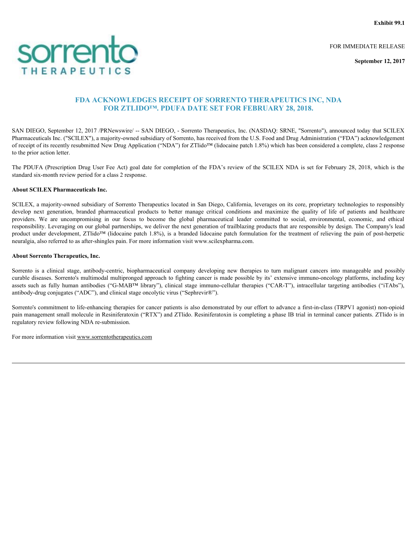**Exhibit 99.1**

FOR IMMEDIATE RELEASE

**September 12, 2017**

### **FDA ACKNOWLEDGES RECEIPT OF SORRENTO THERAPEUTICS INC, NDA FOR ZTLIDO™. PDUFA DATE SET FOR FEBRUARY 28, 2018.**

SAN DIEGO, September 12, 2017 /PRNewswire/ -- SAN DIEGO, - Sorrento Therapeutics, Inc. (NASDAQ: SRNE, "Sorrento"), announced today that SCILEX Pharmaceuticals Inc. ("SCILEX"), a majority-owned subsidiary of Sorrento, has received from the U.S. Food and Drug Administration ("FDA") acknowledgement of receipt of its recently resubmitted New Drug Application ("NDA") for ZTlido™ (lidocaine patch 1.8%) which has been considered a complete, class 2 response to the prior action letter.

The PDUFA (Prescription Drug User Fee Act) goal date for completion of the FDA's review of the SCILEX NDA is set for February 28, 2018, which is the standard six-month review period for a class 2 response.

### **About SCILEX Pharmaceuticals Inc.**

<span id="page-3-0"></span>SCILEX, a majority-owned subsidiary of Sorrento Therapeutics located in San Diego, California, leverages on its core, proprietary technologies to responsibly **SCOME COMPANY AND ACCESS AND ACCESS AND ACCESS AND ACCESS AND ACCESS AND ACCESS AND ACCESS AND ACCESS AND ACCESS AND ACCESS AND ACCESS AND ACCESS AND ACCESS AND ACCESS AND ACCESS AND ACCESS AND ACCESS AND ACCESS AND ACCE FORT CONTROLLATE CONTROLLATE CONTROLLATE CONTROLLATE CONTROLLATE SINC.** Specified a compromision of the CALIFORNIA CONTROLLATE SINC, NDA<br>
FOR ZTILIDO<sup>TS</sup>, PDUFA DATE SET FOR FEBRUARY 28, 2018.<br>
SAN DIEGO, Specified 12, 2 responsibility. Leveraging on our global partnerships, we deliver the next generation of trailblazing products that are responsible by design. The Company's lead product under development, ZTlido™ (lidocaine patch 1.8%), is a branded lidocaine patch formulation for the treatment of relieving the pain of post-herpetic neuralgia, also referred to as after-shingles pain. For more information visit www.scilexpharma.com. FOR THE RAP PUTICS<br>
FDA ACKNOWLEDGES RECEIPT OF SORRENTO THERAPEUTICS INC, NDA<br>
FOR STREND SPECIFIC SURFACTS CONTROL TO THE SURFACTS CONTROL AND A<br>
FOR STELLY AND THE SURFACTS CONTROL TO THE SURFACTS CONTROL AND SURFACTS **EVALUATE AS PEUT FOR SECRET OF SORRENTO THERAPEUTICS INC, NDA<br>
FDA ACKNOWLEDGES RECEIPT OF SORRENTO THERAPEUTICS INC, NDA<br>
SAN DIESO, Speedse 12, 2017 (PROcessing - SAN DIESO, Secrets Thermodes, Inc. (NASDAQ: SRNE, Secre** 

### **About Sorrento Therapeutics, Inc.**

curable diseases. Sorrento's multimodal multipronged approach to fighting cancer is made possible by its' extensive immuno-oncology platforms, including key antibody-drug conjugates ("ADC"), and clinical stage oncolytic virus ("Sephrevir®").

Sorrento's commitment to life-enhancing therapies for cancer patients is also demonstrated by our effort to advance a first-in-class (TRPV1 agonist) non-opioid pain management small molecule in Resiniferatoxin ("RTX") and ZTlido. Resiniferatoxin is completing a phase IB trial in terminal cancer patients. ZTlido is in regulatory review following NDA re-submission.

For more information visit www.sorrentotherapeutics.com